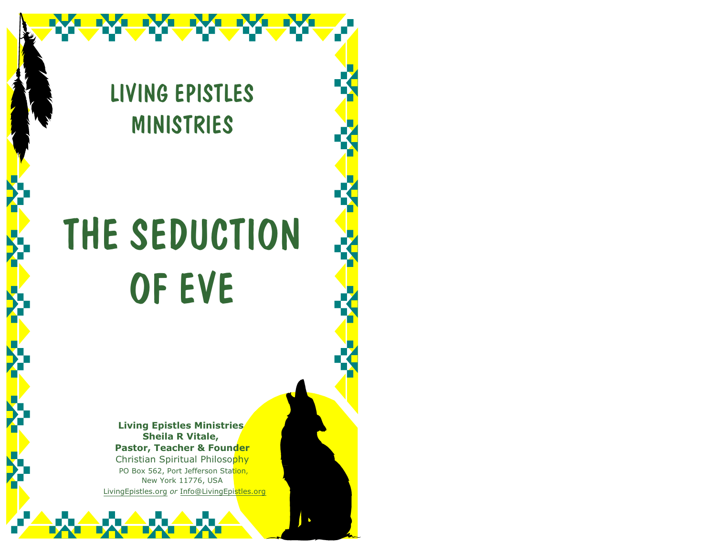

# THE SEDUCTION OF EVE

**Living Epistles Ministries Sheila R Vitale, Pastor, Teacher & Founder** Christian Spiritual Philosophy PO Box 562, Port Jefferson Station, New York 11776, USA LivingEpistles.org *or* Info@LivingEpistles.org

 $\Delta$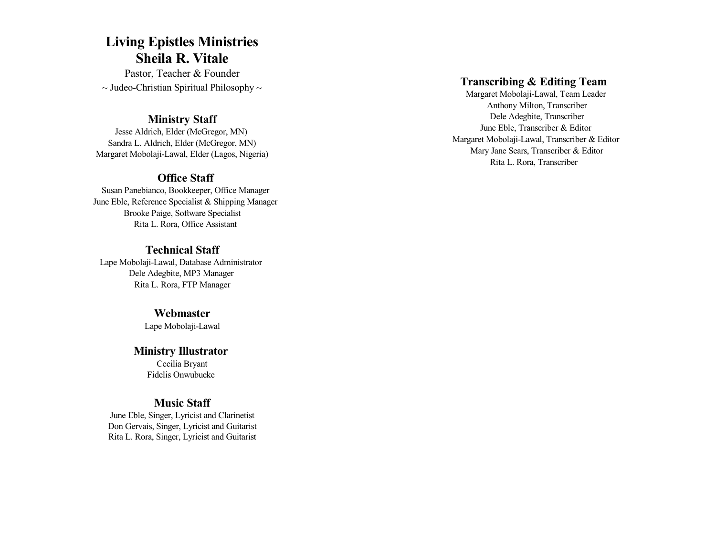#### **Living Epistles Ministries Sheila R. Vitale**

Pastor, Teacher & Founder  $\sim$  Judeo-Christian Spiritual Philosophy  $\sim$ 

#### **Ministry Staff**

Jesse Aldrich, Elder (McGregor, MN) Sandra L. Aldrich, Elder (McGregor, MN) Margaret Mobolaji-Lawal, Elder (Lagos, Nigeria)

#### **Office Staff**

Susan Panebianco, Bookkeeper, Office Manager June Eble, Reference Specialist & Shipping Manager Brooke Paige, Software Specialist Rita L. Rora, Office Assistant

#### **Technical Staff**

Lape Mobolaji-Lawal, Database Administrator Dele Adegbite, MP3 Manager Rita L. Rora, FTP Manager

#### **Webmaster**

Lape Mobolaji-Lawal

#### **Ministry Illustrator**

Cecilia Bryant Fidelis Onwubueke

#### **Music Staff**

June Eble, Singer, Lyricist and Clarinetist Don Gervais, Singer, Lyricist and Guitarist Rita L. Rora, Singer, Lyricist and Guitarist

#### **Transcribing & Editing Team**

Margaret Mobolaji-Lawal, Team Leader Anthony Milton, Transcriber Dele Adegbite, Transcriber June Eble, Transcriber & Editor Margaret Mobolaji-Lawal, Transcriber & Editor Mary Jane Sears, Transcriber & Editor Rita L. Rora, Transcriber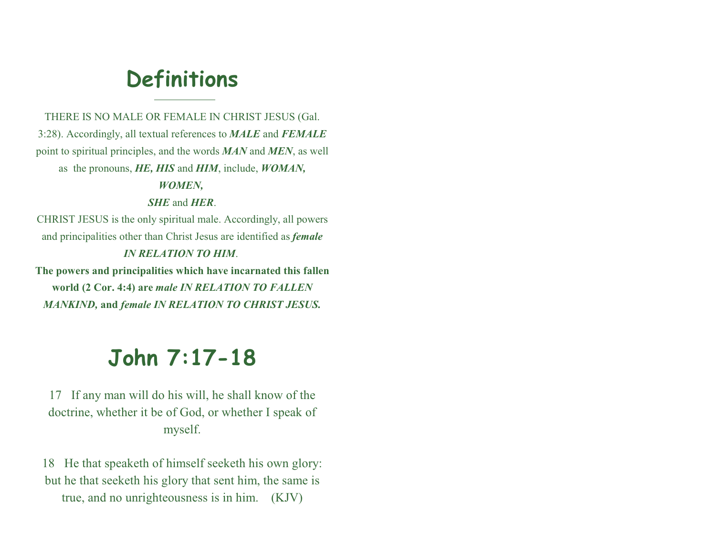## **Definitions**

THERE IS NO MALE OR FEMALE IN CHRIST JESUS (Gal. 3:28). Accordingly, all textual references to *MALE* and *FEMALE* point to spiritual principles, and the words *MAN* and *MEN*, as well as the pronouns, *HE, HIS* and *HIM*, include, *WOMAN, WOMEN, SHE* and *HER*. CHRIST JESUS is the only spiritual male. Accordingly, all powers and principalities other than Christ Jesus are identified as *female*

#### *IN RELATION TO HIM*.

**The powers and principalities which have incarnated this fallen world (2 Cor. 4:4) are** *male IN RELATION TO FALLEN MANKIND,* **and** *female IN RELATION TO CHRIST JESUS.*

## **John 7:17-18**

17 If any man will do his will, he shall know of the doctrine, whether it be of God, or whether I speak of myself.

18 He that speaketh of himself seeketh his own glory: but he that seeketh his glory that sent him, the same is true, and no unrighteousness is in him. (KJV)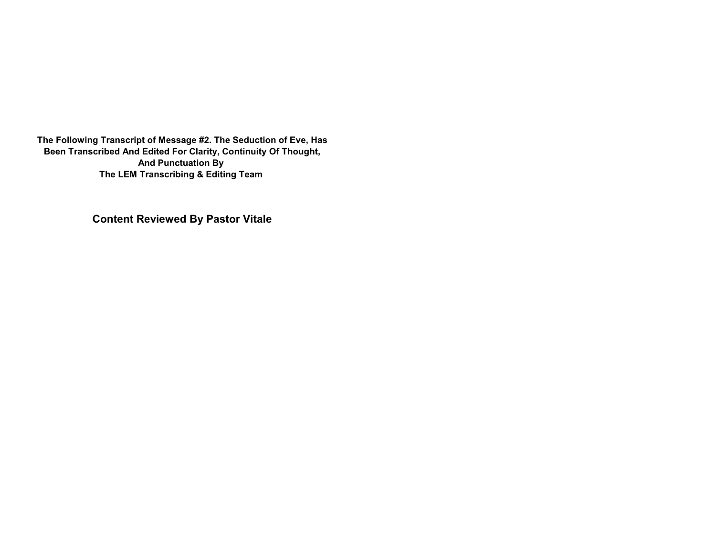**The Following Transcript of Message #2. The Seduction of Eve, Has Been Transcribed And Edited For Clarity, Continuity Of Thought, And Punctuation By The LEM Transcribing & Editing Team** 

**Content Reviewed By Pastor Vitale**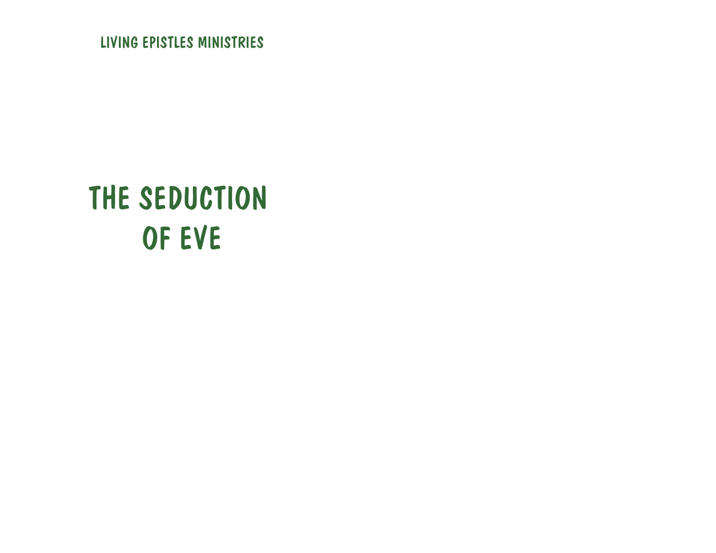LIVING EPISTLES MINISTRIES

## THE SEDUCTION OF EVE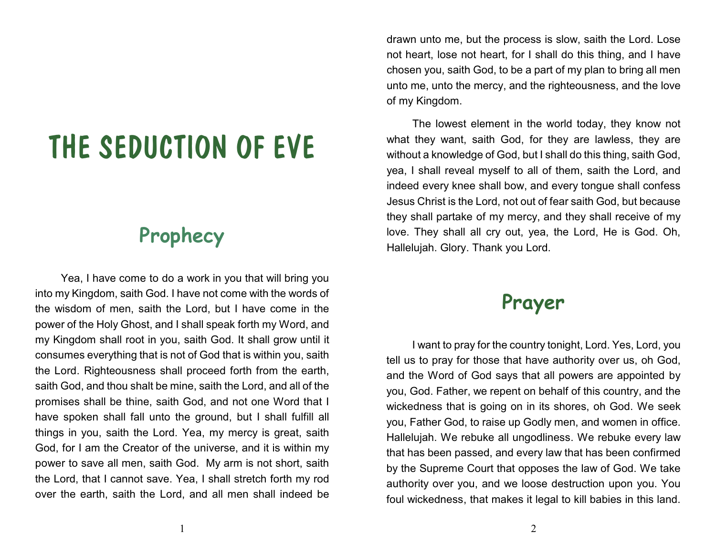## THE SEDUCTION OF EVE

## **Prophecy**

Yea, I have come to do a work in you that will bring you into my Kingdom, saith God. I have not come with the words of the wisdom of men, saith the Lord, but I have come in the power of the Holy Ghost, and I shall speak forth my Word, and my Kingdom shall root in you, saith God. It shall grow until it consumes everything that is not of God that is within you, saith the Lord. Righteousness shall proceed forth from the earth, saith God, and thou shalt be mine, saith the Lord, and all of the promises shall be thine, saith God, and not one Word that I have spoken shall fall unto the ground, but I shall fulfill all things in you, saith the Lord. Yea, my mercy is great, saith God, for I am the Creator of the universe, and it is within my power to save all men, saith God. My arm is not short, saith the Lord, that I cannot save. Yea, I shall stretch forth my rod over the earth, saith the Lord, and all men shall indeed be

drawn unto me, but the process is slow, saith the Lord. Lose not heart, lose not heart, for I shall do this thing, and I have chosen you, saith God, to be a part of my plan to bring all men unto me, unto the mercy, and the righteousness, and the love of my Kingdom.

The lowest element in the world today, they know not what they want, saith God, for they are lawless, they are without a knowledge of God, but I shall do this thing, saith God, yea, I shall reveal myself to all of them, saith the Lord, and indeed every knee shall bow, and every tongue shall confess Jesus Christ is the Lord, not out of fear saith God, but because they shall partake of my mercy, and they shall receive of my love. They shall all cry out, yea, the Lord, He is God. Oh, Hallelujah. Glory. Thank you Lord.

### **Prayer**

I want to pray for the country tonight, Lord. Yes, Lord, you tell us to pray for those that have authority over us, oh God, and the Word of God says that all powers are appointed by you, God. Father, we repent on behalf of this country, and the wickedness that is going on in its shores, oh God. We seek you, Father God, to raise up Godly men, and women in office. Hallelujah. We rebuke all ungodliness. We rebuke every law that has been passed, and every law that has been confirmed by the Supreme Court that opposes the law of God. We take authority over you, and we loose destruction upon you. You foul wickedness, that makes it legal to kill babies in this land.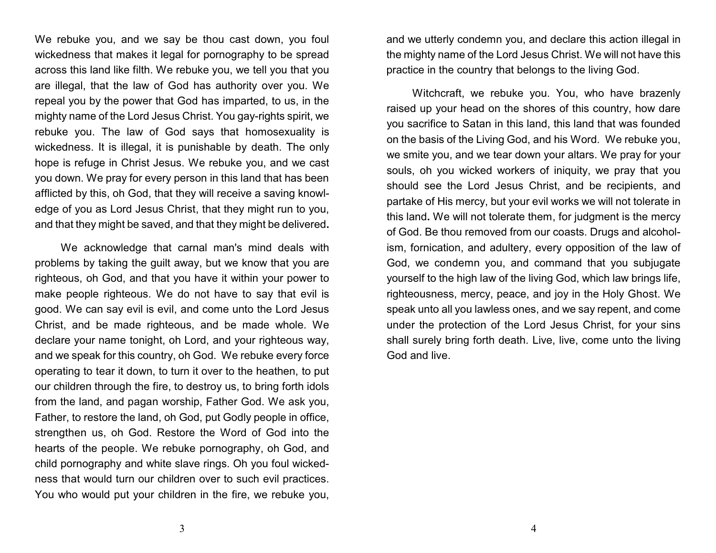We rebuke you, and we say be thou cast down, you foul wickedness that makes it legal for pornography to be spread across this land like filth. We rebuke you, we tell you that you are illegal, that the law of God has authority over you. We repeal you by the power that God has imparted, to us, in the mighty name of the Lord Jesus Christ. You gay-rights spirit, we rebuke you. The law of God says that homosexuality is wickedness. It is illegal, it is punishable by death. The only hope is refuge in Christ Jesus. We rebuke you, and we cast you down. We pray for every person in this land that has been afflicted by this, oh God, that they will receive a saving knowledge of you as Lord Jesus Christ, that they might run to you, and that they might be saved, and that they might be delivered**.**

We acknowledge that carnal man's mind deals with problems by taking the guilt away, but we know that you are righteous, oh God, and that you have it within your power to make people righteous. We do not have to say that evil is good. We can say evil is evil, and come unto the Lord Jesus Christ, and be made righteous, and be made whole. We declare your name tonight, oh Lord, and your righteous way, and we speak for this country, oh God. We rebuke every force operating to tear it down, to turn it over to the heathen, to put our children through the fire, to destroy us, to bring forth idols from the land, and pagan worship, Father God. We ask you, Father, to restore the land, oh God, put Godly people in office, strengthen us, oh God. Restore the Word of God into the hearts of the people. We rebuke pornography, oh God, and child pornography and white slave rings. Oh you foul wickedness that would turn our children over to such evil practices. You who would put your children in the fire, we rebuke you,

and we utterly condemn you, and declare this action illegal in the mighty name of the Lord Jesus Christ. We will not have this practice in the country that belongs to the living God.

Witchcraft, we rebuke you. You, who have brazenly raised up your head on the shores of this country, how dare you sacrifice to Satan in this land, this land that was founded on the basis of the Living God, and his Word. We rebuke you, we smite you, and we tear down your altars. We pray for your souls, oh you wicked workers of iniquity, we pray that you should see the Lord Jesus Christ, and be recipients, and partake of His mercy, but your evil works we will not tolerate in this land**.** We will not tolerate them, for judgment is the mercy of God. Be thou removed from our coasts. Drugs and alcoholism, fornication, and adultery, every opposition of the law of God, we condemn you, and command that you subjugate yourself to the high law of the living God, which law brings life, righteousness, mercy, peace, and joy in the Holy Ghost. We speak unto all you lawless ones, and we say repent, and come under the protection of the Lord Jesus Christ, for your sins shall surely bring forth death. Live, live, come unto the living God and live.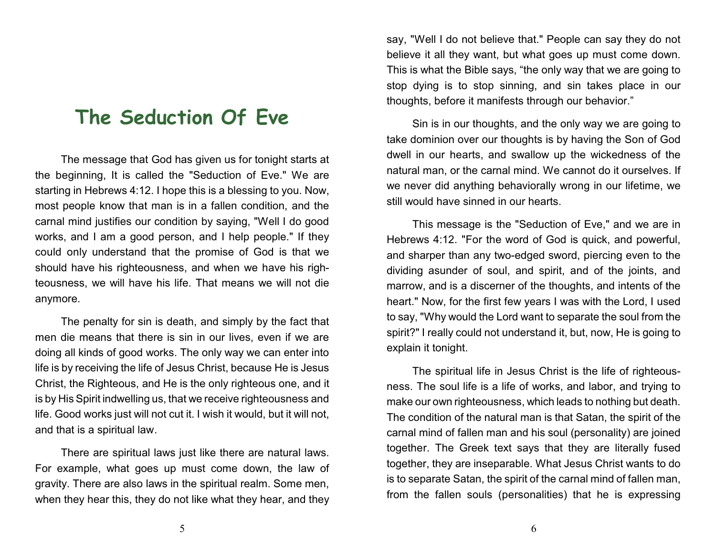### **The Seduction Of Eve**

The message that God has given us for tonight starts at the beginning, It is called the "Seduction of Eve." We are starting in Hebrews 4:12. I hope this is a blessing to you. Now, most people know that man is in a fallen condition, and the carnal mind justifies our condition by saying, "Well I do good works, and I am a good person, and I help people." If they could only understand that the promise of God is that we should have his righteousness, and when we have his righteousness, we will have his life. That means we will not die anymore.

The penalty for sin is death, and simply by the fact that men die means that there is sin in our lives, even if we are doing all kinds of good works. The only way we can enter into life is by receiving the life of Jesus Christ, because He is Jesus Christ, the Righteous, and He is the only righteous one, and it is by His Spirit indwelling us, that we receive righteousness and life. Good works just will not cut it. I wish it would, but it will not, and that is a spiritual law.

There are spiritual laws just like there are natural laws. For example, what goes up must come down, the law of gravity. There are also laws in the spiritual realm. Some men, when they hear this, they do not like what they hear, and they say, "Well I do not believe that." People can say they do not believe it all they want, but what goes up must come down. This is what the Bible says, "the only way that we are going to stop dying is to stop sinning, and sin takes place in our thoughts, before it manifests through our behavior."

Sin is in our thoughts, and the only way we are going to take dominion over our thoughts is by having the Son of God dwell in our hearts, and swallow up the wickedness of the natural man, or the carnal mind. We cannot do it ourselves. If we never did anything behaviorally wrong in our lifetime, we still would have sinned in our hearts.

This message is the "Seduction of Eve," and we are in Hebrews 4:12. "For the word of God is quick, and powerful, and sharper than any two-edged sword, piercing even to the dividing asunder of soul, and spirit, and of the joints, and marrow, and is a discerner of the thoughts, and intents of the heart." Now, for the first few years I was with the Lord, I used to say, "Why would the Lord want to separate the soul from the spirit?" I really could not understand it, but, now, He is going to explain it tonight.

The spiritual life in Jesus Christ is the life of righteousness. The soul life is a life of works, and labor, and trying to make our own righteousness, which leads to nothing but death. The condition of the natural man is that Satan, the spirit of the carnal mind of fallen man and his soul (personality) are joined together. The Greek text says that they are literally fused together, they are inseparable. What Jesus Christ wants to do is to separate Satan, the spirit of the carnal mind of fallen man, from the fallen souls (personalities) that he is expressing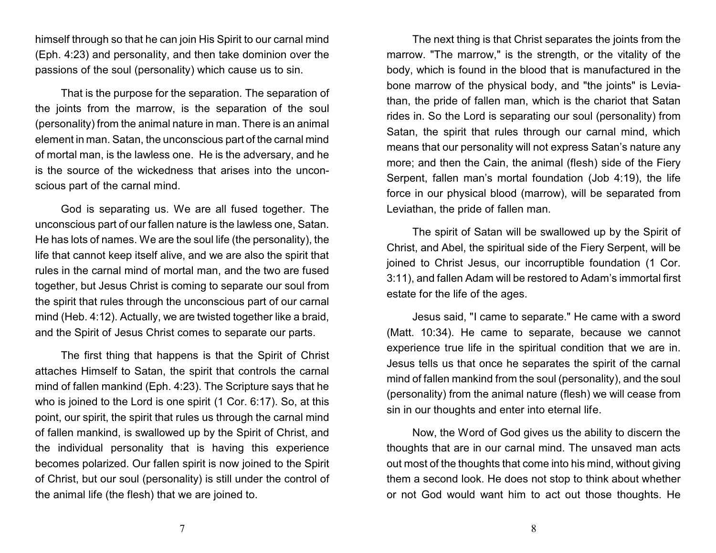himself through so that he can join His Spirit to our carnal mind (Eph. 4:23) and personality, and then take dominion over the passions of the soul (personality) which cause us to sin.

That is the purpose for the separation. The separation of the joints from the marrow, is the separation of the soul (personality) from the animal nature in man. There is an animal element in man. Satan, the unconscious part of the carnal mind of mortal man, is the lawless one. He is the adversary, and he is the source of the wickedness that arises into the unconscious part of the carnal mind.

God is separating us. We are all fused together. The unconscious part of our fallen nature is the lawless one, Satan. He has lots of names. We are the soul life (the personality), the life that cannot keep itself alive, and we are also the spirit that rules in the carnal mind of mortal man, and the two are fused together, but Jesus Christ is coming to separate our soul from the spirit that rules through the unconscious part of our carnal mind (Heb. 4:12). Actually, we are twisted together like a braid, and the Spirit of Jesus Christ comes to separate our parts.

The first thing that happens is that the Spirit of Christ attaches Himself to Satan, the spirit that controls the carnal mind of fallen mankind (Eph. 4:23). The Scripture says that he who is joined to the Lord is one spirit (1 Cor. 6:17). So, at this point, our spirit, the spirit that rules us through the carnal mind of fallen mankind, is swallowed up by the Spirit of Christ, and the individual personality that is having this experience becomes polarized. Our fallen spirit is now joined to the Spirit of Christ, but our soul (personality) is still under the control of the animal life (the flesh) that we are joined to.

The next thing is that Christ separates the joints from the marrow. "The marrow," is the strength, or the vitality of the body, which is found in the blood that is manufactured in the bone marrow of the physical body, and "the joints" is Leviathan, the pride of fallen man, which is the chariot that Satan rides in. So the Lord is separating our soul (personality) from Satan, the spirit that rules through our carnal mind, which means that our personality will not express Satan's nature any more; and then the Cain, the animal (flesh) side of the Fiery Serpent, fallen man's mortal foundation (Job 4:19), the life force in our physical blood (marrow), will be separated from Leviathan, the pride of fallen man.

The spirit of Satan will be swallowed up by the Spirit of Christ, and Abel, the spiritual side of the Fiery Serpent, will be joined to Christ Jesus, our incorruptible foundation (1 Cor. 3:11), and fallen Adam will be restored to Adam's immortal first estate for the life of the ages.

Jesus said, "I came to separate." He came with a sword (Matt. 10:34). He came to separate, because we cannot experience true life in the spiritual condition that we are in. Jesus tells us that once he separates the spirit of the carnal mind of fallen mankind from the soul (personality), and the soul (personality) from the animal nature (flesh) we will cease from sin in our thoughts and enter into eternal life.

Now, the Word of God gives us the ability to discern the thoughts that are in our carnal mind. The unsaved man acts out most of the thoughts that come into his mind, without giving them a second look. He does not stop to think about whether or not God would want him to act out those thoughts. He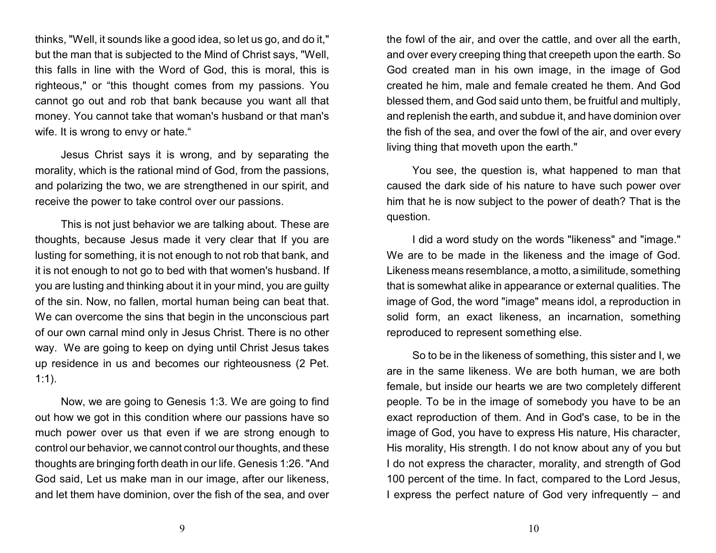thinks, "Well, it sounds like a good idea, so let us go, and do it," but the man that is subjected to the Mind of Christ says, "Well, this falls in line with the Word of God, this is moral, this is righteous," or "this thought comes from my passions. You cannot go out and rob that bank because you want all that money. You cannot take that woman's husband or that man's wife. It is wrong to envy or hate."

Jesus Christ says it is wrong, and by separating the morality, which is the rational mind of God, from the passions, and polarizing the two, we are strengthened in our spirit, and receive the power to take control over our passions.

This is not just behavior we are talking about. These are thoughts, because Jesus made it very clear that If you are lusting for something, it is not enough to not rob that bank, and it is not enough to not go to bed with that women's husband. If you are lusting and thinking about it in your mind, you are guilty of the sin. Now, no fallen, mortal human being can beat that. We can overcome the sins that begin in the unconscious part of our own carnal mind only in Jesus Christ. There is no other way. We are going to keep on dying until Christ Jesus takes up residence in us and becomes our righteousness (2 Pet. 1:1).

Now, we are going to Genesis 1:3. We are going to find out how we got in this condition where our passions have so much power over us that even if we are strong enough to control our behavior, we cannot control our thoughts, and these thoughts are bringing forth death in our life. Genesis 1:26. "And God said, Let us make man in our image, after our likeness, and let them have dominion, over the fish of the sea, and over the fowl of the air, and over the cattle, and over all the earth, and over every creeping thing that creepeth upon the earth. So God created man in his own image, in the image of God created he him, male and female created he them. And God blessed them, and God said unto them, be fruitful and multiply, and replenish the earth, and subdue it, and have dominion over the fish of the sea, and over the fowl of the air, and over every living thing that moveth upon the earth."

You see, the question is, what happened to man that caused the dark side of his nature to have such power over him that he is now subject to the power of death? That is the question.

I did a word study on the words "likeness" and "image." We are to be made in the likeness and the image of God. Likeness means resemblance, a motto, a similitude, something that is somewhat alike in appearance or external qualities. The image of God, the word "image" means idol, a reproduction in solid form, an exact likeness, an incarnation, something reproduced to represent something else.

So to be in the likeness of something, this sister and I, we are in the same likeness. We are both human, we are both female, but inside our hearts we are two completely different people. To be in the image of somebody you have to be an exact reproduction of them. And in God's case, to be in the image of God, you have to express His nature, His character, His morality, His strength. I do not know about any of you but I do not express the character, morality, and strength of God 100 percent of the time. In fact, compared to the Lord Jesus, I express the perfect nature of God very infrequently – and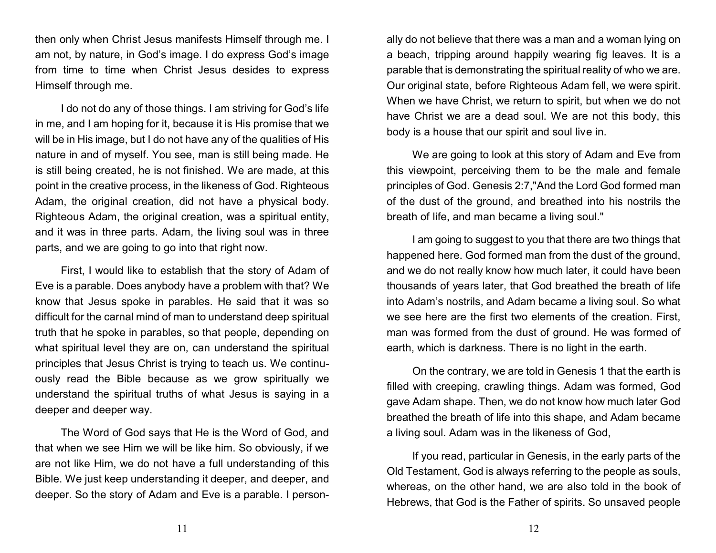then only when Christ Jesus manifests Himself through me. I am not, by nature, in God's image. I do express God's image from time to time when Christ Jesus desides to express Himself through me.

I do not do any of those things. I am striving for God's life in me, and I am hoping for it, because it is His promise that we will be in His image, but I do not have any of the qualities of His nature in and of myself. You see, man is still being made. He is still being created, he is not finished. We are made, at this point in the creative process, in the likeness of God. Righteous Adam, the original creation, did not have a physical body. Righteous Adam, the original creation, was a spiritual entity, and it was in three parts. Adam, the living soul was in three parts, and we are going to go into that right now.

First, I would like to establish that the story of Adam of Eve is a parable. Does anybody have a problem with that? We know that Jesus spoke in parables. He said that it was so difficult for the carnal mind of man to understand deep spiritual truth that he spoke in parables, so that people, depending on what spiritual level they are on, can understand the spiritual principles that Jesus Christ is trying to teach us. We continuously read the Bible because as we grow spiritually we understand the spiritual truths of what Jesus is saying in a deeper and deeper way.

The Word of God says that He is the Word of God, and that when we see Him we will be like him. So obviously, if we are not like Him, we do not have a full understanding of this Bible. We just keep understanding it deeper, and deeper, and deeper. So the story of Adam and Eve is a parable. I personally do not believe that there was a man and a woman lying on a beach, tripping around happily wearing fig leaves. It is a parable that is demonstrating the spiritual reality of who we are. Our original state, before Righteous Adam fell, we were spirit. When we have Christ, we return to spirit, but when we do not have Christ we are a dead soul. We are not this body, this body is a house that our spirit and soul live in.

We are going to look at this story of Adam and Eve from this viewpoint, perceiving them to be the male and female principles of God. Genesis 2:7,"And the Lord God formed man of the dust of the ground, and breathed into his nostrils the breath of life, and man became a living soul."

I am going to suggest to you that there are two things that happened here. God formed man from the dust of the ground, and we do not really know how much later, it could have been thousands of years later, that God breathed the breath of life into Adam's nostrils, and Adam became a living soul. So what we see here are the first two elements of the creation. First, man was formed from the dust of ground. He was formed of earth, which is darkness. There is no light in the earth.

On the contrary, we are told in Genesis 1 that the earth is filled with creeping, crawling things. Adam was formed, God gave Adam shape. Then, we do not know how much later God breathed the breath of life into this shape, and Adam became a living soul. Adam was in the likeness of God,

If you read, particular in Genesis, in the early parts of the Old Testament, God is always referring to the people as souls, whereas, on the other hand, we are also told in the book of Hebrews, that God is the Father of spirits. So unsaved people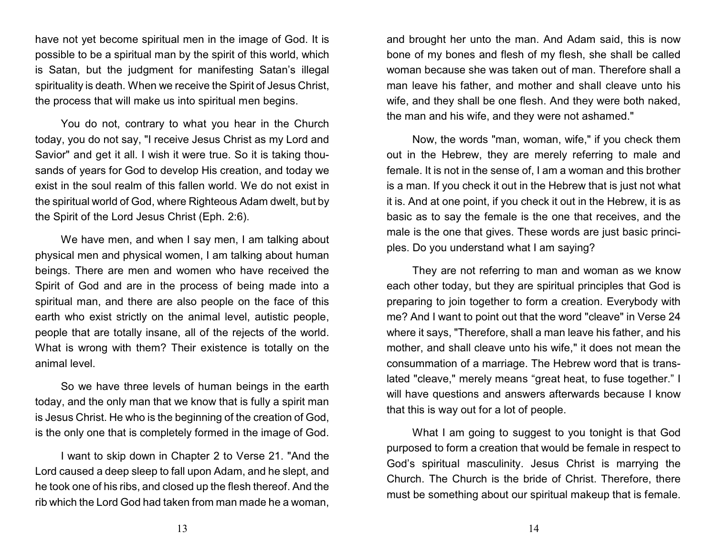have not yet become spiritual men in the image of God. It is possible to be a spiritual man by the spirit of this world, which is Satan, but the judgment for manifesting Satan's illegal spirituality is death. When we receive the Spirit of Jesus Christ, the process that will make us into spiritual men begins.

You do not, contrary to what you hear in the Church today, you do not say, "I receive Jesus Christ as my Lord and Savior" and get it all. I wish it were true. So it is taking thousands of years for God to develop His creation, and today we exist in the soul realm of this fallen world. We do not exist in the spiritual world of God, where Righteous Adam dwelt, but by the Spirit of the Lord Jesus Christ (Eph. 2:6).

We have men, and when I say men, I am talking about physical men and physical women, I am talking about human beings. There are men and women who have received the Spirit of God and are in the process of being made into a spiritual man, and there are also people on the face of this earth who exist strictly on the animal level, autistic people, people that are totally insane, all of the rejects of the world. What is wrong with them? Their existence is totally on the animal level.

So we have three levels of human beings in the earth today, and the only man that we know that is fully a spirit man is Jesus Christ. He who is the beginning of the creation of God, is the only one that is completely formed in the image of God.

I want to skip down in Chapter 2 to Verse 21. "And the Lord caused a deep sleep to fall upon Adam, and he slept, and he took one of his ribs, and closed up the flesh thereof. And the rib which the Lord God had taken from man made he a woman,

and brought her unto the man. And Adam said, this is now bone of my bones and flesh of my flesh, she shall be called woman because she was taken out of man. Therefore shall a man leave his father, and mother and shall cleave unto his wife, and they shall be one flesh. And they were both naked, the man and his wife, and they were not ashamed."

Now, the words "man, woman, wife," if you check them out in the Hebrew, they are merely referring to male and female. It is not in the sense of, I am a woman and this brother is a man. If you check it out in the Hebrew that is just not what it is. And at one point, if you check it out in the Hebrew, it is as basic as to say the female is the one that receives, and the male is the one that gives. These words are just basic principles. Do you understand what I am saying?

They are not referring to man and woman as we know each other today, but they are spiritual principles that God is preparing to join together to form a creation. Everybody with me? And I want to point out that the word "cleave" in Verse 24 where it says, "Therefore, shall a man leave his father, and his mother, and shall cleave unto his wife," it does not mean the consummation of a marriage. The Hebrew word that is translated "cleave," merely means "great heat, to fuse together." I will have questions and answers afterwards because I know that this is way out for a lot of people.

What I am going to suggest to you tonight is that God purposed to form a creation that would be female in respect to God's spiritual masculinity. Jesus Christ is marrying the Church. The Church is the bride of Christ. Therefore, there must be something about our spiritual makeup that is female.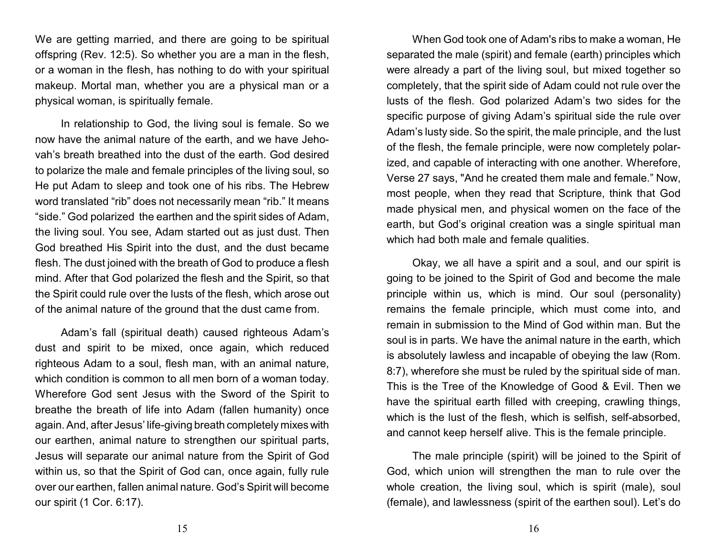We are getting married, and there are going to be spiritual offspring (Rev. 12:5). So whether you are a man in the flesh, or a woman in the flesh, has nothing to do with your spiritual makeup. Mortal man, whether you are a physical man or a physical woman, is spiritually female.

In relationship to God, the living soul is female. So we now have the animal nature of the earth, and we have Jehovah's breath breathed into the dust of the earth. God desired to polarize the male and female principles of the living soul, so He put Adam to sleep and took one of his ribs. The Hebrew word translated "rib" does not necessarily mean "rib." It means "side." God polarized the earthen and the spirit sides of Adam, the living soul. You see, Adam started out as just dust. Then God breathed His Spirit into the dust, and the dust became flesh. The dust joined with the breath of God to produce a flesh mind. After that God polarized the flesh and the Spirit, so that the Spirit could rule over the lusts of the flesh, which arose out of the animal nature of the ground that the dust came from.

Adam's fall (spiritual death) caused righteous Adam's dust and spirit to be mixed, once again, which reduced righteous Adam to a soul, flesh man, with an animal nature, which condition is common to all men born of a woman today. Wherefore God sent Jesus with the Sword of the Spirit to breathe the breath of life into Adam (fallen humanity) once again. And, after Jesus' life-giving breath completely mixes with our earthen, animal nature to strengthen our spiritual parts, Jesus will separate our animal nature from the Spirit of God within us, so that the Spirit of God can, once again, fully rule over our earthen, fallen animal nature. God's Spirit will become our spirit (1 Cor. 6:17).

When God took one of Adam's ribs to make a woman, He separated the male (spirit) and female (earth) principles which were already a part of the living soul, but mixed together so completely, that the spirit side of Adam could not rule over the lusts of the flesh. God polarized Adam's two sides for the specific purpose of giving Adam's spiritual side the rule over Adam's lusty side. So the spirit, the male principle, and the lust of the flesh, the female principle, were now completely polarized, and capable of interacting with one another. Wherefore, Verse 27 says, "And he created them male and female." Now, most people, when they read that Scripture, think that God made physical men, and physical women on the face of the earth, but God's original creation was a single spiritual man which had both male and female qualities.

Okay, we all have a spirit and a soul, and our spirit is going to be joined to the Spirit of God and become the male principle within us, which is mind. Our soul (personality) remains the female principle, which must come into, and remain in submission to the Mind of God within man. But the soul is in parts. We have the animal nature in the earth, which is absolutely lawless and incapable of obeying the law (Rom. 8:7), wherefore she must be ruled by the spiritual side of man. This is the Tree of the Knowledge of Good & Evil. Then we have the spiritual earth filled with creeping, crawling things, which is the lust of the flesh, which is selfish, self-absorbed, and cannot keep herself alive. This is the female principle.

The male principle (spirit) will be joined to the Spirit of God, which union will strengthen the man to rule over the whole creation, the living soul, which is spirit (male), soul (female), and lawlessness (spirit of the earthen soul). Let's do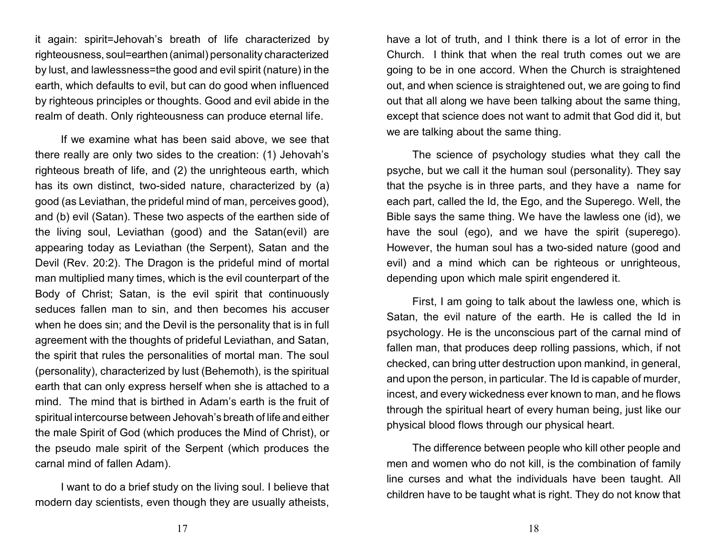it again: spirit=Jehovah's breath of life characterized by righteousness, soul=earthen (animal) personality characterized by lust, and lawlessness=the good and evil spirit (nature) in the earth, which defaults to evil, but can do good when influenced by righteous principles or thoughts. Good and evil abide in the realm of death. Only righteousness can produce eternal life.

If we examine what has been said above, we see that there really are only two sides to the creation: (1) Jehovah's righteous breath of life, and (2) the unrighteous earth, which has its own distinct, two-sided nature, characterized by (a) good (as Leviathan, the prideful mind of man, perceives good), and (b) evil (Satan). These two aspects of the earthen side of the living soul, Leviathan (good) and the Satan(evil) are appearing today as Leviathan (the Serpent), Satan and the Devil (Rev. 20:2). The Dragon is the prideful mind of mortal man multiplied many times, which is the evil counterpart of the Body of Christ; Satan, is the evil spirit that continuously seduces fallen man to sin, and then becomes his accuser when he does sin; and the Devil is the personality that is in full agreement with the thoughts of prideful Leviathan, and Satan, the spirit that rules the personalities of mortal man. The soul (personality), characterized by lust (Behemoth), is the spiritual earth that can only express herself when she is attached to a mind. The mind that is birthed in Adam's earth is the fruit of spiritual intercourse between Jehovah's breath of life and either the male Spirit of God (which produces the Mind of Christ), or the pseudo male spirit of the Serpent (which produces the carnal mind of fallen Adam).

I want to do a brief study on the living soul. I believe that modern day scientists, even though they are usually atheists,

have a lot of truth, and I think there is a lot of error in the Church. I think that when the real truth comes out we are going to be in one accord. When the Church is straightened out, and when science is straightened out, we are going to find out that all along we have been talking about the same thing, except that science does not want to admit that God did it, but we are talking about the same thing.

The science of psychology studies what they call the psyche, but we call it the human soul (personality). They say that the psyche is in three parts, and they have a name for each part, called the Id, the Ego, and the Superego. Well, the Bible says the same thing. We have the lawless one (id), we have the soul (ego), and we have the spirit (superego). However, the human soul has a two-sided nature (good and evil) and a mind which can be righteous or unrighteous, depending upon which male spirit engendered it.

First, I am going to talk about the lawless one, which is Satan, the evil nature of the earth. He is called the Id in psychology. He is the unconscious part of the carnal mind of fallen man, that produces deep rolling passions, which, if not checked, can bring utter destruction upon mankind, in general, and upon the person, in particular. The Id is capable of murder, incest, and every wickedness ever known to man, and he flows through the spiritual heart of every human being, just like our physical blood flows through our physical heart.

The difference between people who kill other people and men and women who do not kill, is the combination of family line curses and what the individuals have been taught. All children have to be taught what is right. They do not know that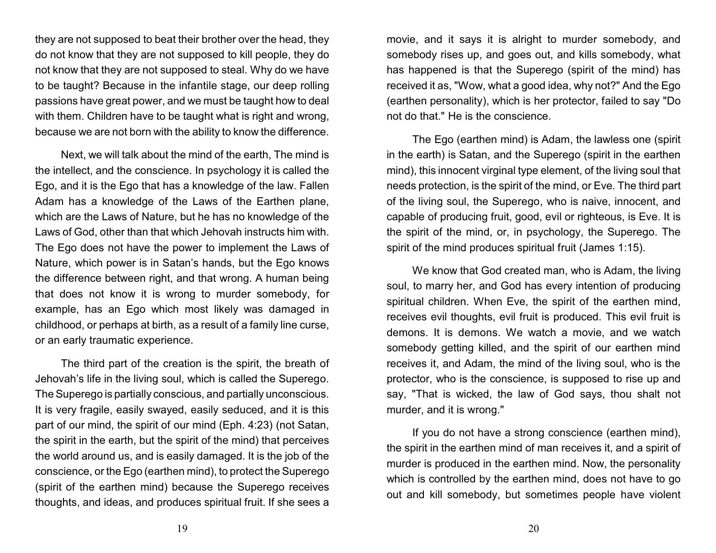they are not supposed to beat their brother over the head, they do not know that they are not supposed to kill people, they do not know that they are not supposed to steal. Why do we have to be taught? Because in the infantile stage, our deep rolling passions have great power, and we must be taught how to deal with them. Children have to be taught what is right and wrong, because we are not born with the ability to know the difference.

Next, we will talk about the mind of the earth, The mind is the intellect, and the conscience. In psychology it is called the Ego, and it is the Ego that has a knowledge of the law. Fallen Adam has a knowledge of the Laws of the Earthen plane, which are the Laws of Nature, but he has no knowledge of the Laws of God, other than that which Jehovah instructs him with. The Ego does not have the power to implement the Laws of Nature, which power is in Satan's hands, but the Ego knows the difference between right, and that wrong. A human being that does not know it is wrong to murder somebody, for example, has an Ego which most likely was damaged in childhood, or perhaps at birth, as a result of a family line curse, or an early traumatic experience.

The third part of the creation is the spirit, the breath of Jehovah's life in the living soul, which is called the Superego. The Superego is partially conscious, and partially unconscious. It is very fragile, easily swayed, easily seduced, and it is this part of our mind, the spirit of our mind (Eph. 4:23) (not Satan, the spirit in the earth, but the spirit of the mind) that perceives the world around us, and is easily damaged. It is the job of the conscience, or the Ego (earthen mind), to protect the Superego (spirit of the earthen mind) because the Superego receives thoughts, and ideas, and produces spiritual fruit. If she sees a

movie, and it says it is alright to murder somebody, and somebody rises up, and goes out, and kills somebody, what has happened is that the Superego (spirit of the mind) has received it as, "Wow, what a good idea, why not?" And the Ego (earthen personality), which is her protector, failed to say "Do not do that." He is the conscience.

The Ego (earthen mind) is Adam, the lawless one (spirit in the earth) is Satan, and the Superego (spirit in the earthen mind), this innocent virginal type element, of the living soul that needs protection, is the spirit of the mind, or Eve. The third part of the living soul, the Superego, who is naive, innocent, and capable of producing fruit, good, evil or righteous, is Eve. It is the spirit of the mind, or, in psychology, the Superego. The spirit of the mind produces spiritual fruit (James 1:15).

We know that God created man, who is Adam, the living soul, to marry her, and God has every intention of producing spiritual children. When Eve, the spirit of the earthen mind, receives evil thoughts, evil fruit is produced. This evil fruit is demons. It is demons. We watch a movie, and we watch somebody getting killed, and the spirit of our earthen mind receives it, and Adam, the mind of the living soul, who is the protector, who is the conscience, is supposed to rise up and say, "That is wicked, the law of God says, thou shalt not murder, and it is wrong."

If you do not have a strong conscience (earthen mind), the spirit in the earthen mind of man receives it, and a spirit of murder is produced in the earthen mind. Now, the personality which is controlled by the earthen mind, does not have to go out and kill somebody, but sometimes people have violent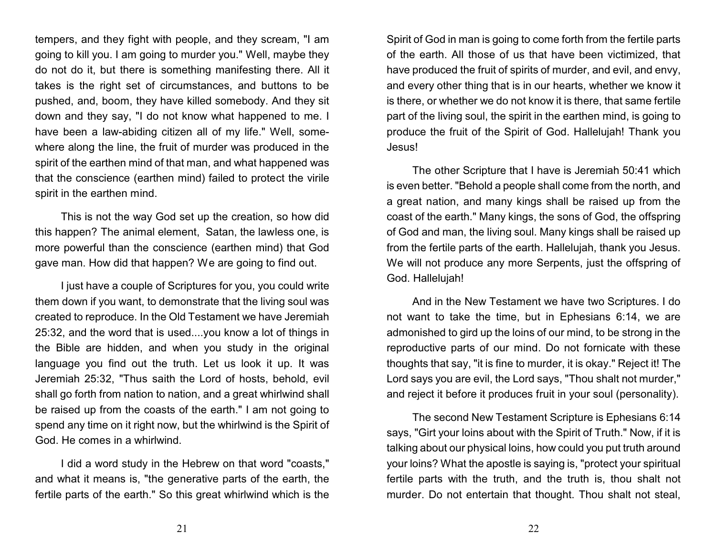tempers, and they fight with people, and they scream, "I am going to kill you. I am going to murder you." Well, maybe they do not do it, but there is something manifesting there. All it takes is the right set of circumstances, and buttons to be pushed, and, boom, they have killed somebody. And they sit down and they say, "I do not know what happened to me. I have been a law-abiding citizen all of my life." Well, somewhere along the line, the fruit of murder was produced in the spirit of the earthen mind of that man, and what happened was that the conscience (earthen mind) failed to protect the virile spirit in the earthen mind.

This is not the way God set up the creation, so how did this happen? The animal element, Satan, the lawless one, is more powerful than the conscience (earthen mind) that God gave man. How did that happen? We are going to find out.

I just have a couple of Scriptures for you, you could write them down if you want, to demonstrate that the living soul was created to reproduce. In the Old Testament we have Jeremiah 25:32, and the word that is used....you know a lot of things in the Bible are hidden, and when you study in the original language you find out the truth. Let us look it up. It was Jeremiah 25:32, "Thus saith the Lord of hosts, behold, evil shall go forth from nation to nation, and a great whirlwind shall be raised up from the coasts of the earth." I am not going to spend any time on it right now, but the whirlwind is the Spirit of God. He comes in a whirlwind.

I did a word study in the Hebrew on that word "coasts," and what it means is, "the generative parts of the earth, the fertile parts of the earth." So this great whirlwind which is the Spirit of God in man is going to come forth from the fertile parts of the earth. All those of us that have been victimized, that have produced the fruit of spirits of murder, and evil, and envy, and every other thing that is in our hearts, whether we know it is there, or whether we do not know it is there, that same fertile part of the living soul, the spirit in the earthen mind, is going to produce the fruit of the Spirit of God. Hallelujah! Thank you Jesus!

The other Scripture that I have is Jeremiah 50:41 which is even better. "Behold a people shall come from the north, and a great nation, and many kings shall be raised up from the coast of the earth." Many kings, the sons of God, the offspring of God and man, the living soul. Many kings shall be raised up from the fertile parts of the earth. Hallelujah, thank you Jesus. We will not produce any more Serpents, just the offspring of God. Hallelujah!

And in the New Testament we have two Scriptures. I do not want to take the time, but in Ephesians 6:14, we are admonished to gird up the loins of our mind, to be strong in the reproductive parts of our mind. Do not fornicate with these thoughts that say, "it is fine to murder, it is okay." Reject it! The Lord says you are evil, the Lord says, "Thou shalt not murder," and reject it before it produces fruit in your soul (personality).

The second New Testament Scripture is Ephesians 6:14 says, "Girt your loins about with the Spirit of Truth." Now, if it is talking about our physical loins, how could you put truth around your loins? What the apostle is saying is, "protect your spiritual fertile parts with the truth, and the truth is, thou shalt not murder. Do not entertain that thought. Thou shalt not steal,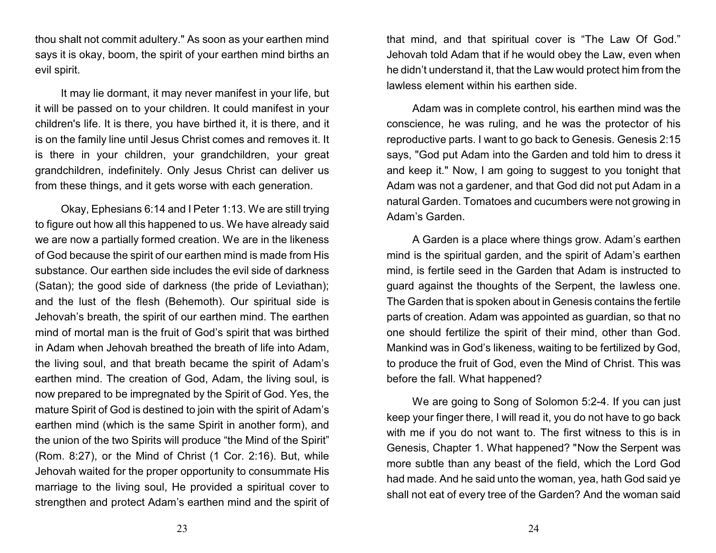thou shalt not commit adultery." As soon as your earthen mind says it is okay, boom, the spirit of your earthen mind births an evil spirit.

It may lie dormant, it may never manifest in your life, but it will be passed on to your children. It could manifest in your children's life. It is there, you have birthed it, it is there, and it is on the family line until Jesus Christ comes and removes it. It is there in your children, your grandchildren, your great grandchildren, indefinitely. Only Jesus Christ can deliver us from these things, and it gets worse with each generation.

Okay, Ephesians 6:14 and I Peter 1:13. We are still trying to figure out how all this happened to us. We have already said we are now a partially formed creation. We are in the likeness of God because the spirit of our earthen mind is made from His substance. Our earthen side includes the evil side of darkness (Satan); the good side of darkness (the pride of Leviathan); and the lust of the flesh (Behemoth). Our spiritual side is Jehovah's breath, the spirit of our earthen mind. The earthen mind of mortal man is the fruit of God's spirit that was birthed in Adam when Jehovah breathed the breath of life into Adam, the living soul, and that breath became the spirit of Adam's earthen mind. The creation of God, Adam, the living soul, is now prepared to be impregnated by the Spirit of God. Yes, the mature Spirit of God is destined to join with the spirit of Adam's earthen mind (which is the same Spirit in another form), and the union of the two Spirits will produce "the Mind of the Spirit" (Rom. 8:27), or the Mind of Christ (1 Cor. 2:16). But, while Jehovah waited for the proper opportunity to consummate His marriage to the living soul, He provided a spiritual cover to strengthen and protect Adam's earthen mind and the spirit of that mind, and that spiritual cover is "The Law Of God." Jehovah told Adam that if he would obey the Law, even when he didn't understand it, that the Law would protect him from the lawless element within his earthen side.

Adam was in complete control, his earthen mind was the conscience, he was ruling, and he was the protector of his reproductive parts. I want to go back to Genesis. Genesis 2:15 says, "God put Adam into the Garden and told him to dress it and keep it." Now, I am going to suggest to you tonight that Adam was not a gardener, and that God did not put Adam in a natural Garden. Tomatoes and cucumbers were not growing in Adam's Garden.

A Garden is a place where things grow. Adam's earthen mind is the spiritual garden, and the spirit of Adam's earthen mind, is fertile seed in the Garden that Adam is instructed to guard against the thoughts of the Serpent, the lawless one. The Garden that is spoken about in Genesis contains the fertile parts of creation. Adam was appointed as guardian, so that no one should fertilize the spirit of their mind, other than God. Mankind was in God's likeness, waiting to be fertilized by God, to produce the fruit of God, even the Mind of Christ. This was before the fall. What happened?

We are going to Song of Solomon 5:2-4. If you can just keep your finger there, I will read it, you do not have to go back with me if you do not want to. The first witness to this is in Genesis, Chapter 1. What happened? "Now the Serpent was more subtle than any beast of the field, which the Lord God had made. And he said unto the woman, yea, hath God said ye shall not eat of every tree of the Garden? And the woman said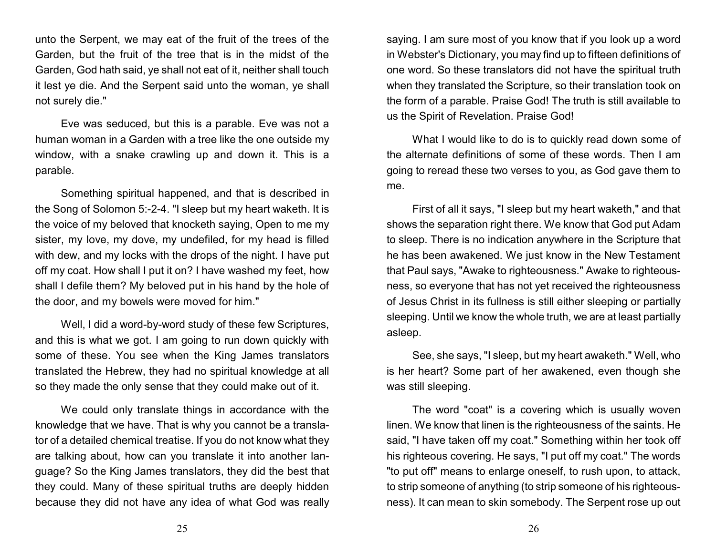unto the Serpent, we may eat of the fruit of the trees of the Garden, but the fruit of the tree that is in the midst of the Garden, God hath said, ye shall not eat of it, neither shall touch it lest ye die. And the Serpent said unto the woman, ye shall not surely die."

Eve was seduced, but this is a parable. Eve was not a human woman in a Garden with a tree like the one outside my window, with a snake crawling up and down it. This is a parable.

Something spiritual happened, and that is described in the Song of Solomon 5:-2-4. "I sleep but my heart waketh. It is the voice of my beloved that knocketh saying, Open to me my sister, my love, my dove, my undefiled, for my head is filled with dew, and my locks with the drops of the night. I have put off my coat. How shall I put it on? I have washed my feet, how shall I defile them? My beloved put in his hand by the hole of the door, and my bowels were moved for him."

Well, I did a word-by-word study of these few Scriptures, and this is what we got. I am going to run down quickly with some of these. You see when the King James translators translated the Hebrew, they had no spiritual knowledge at all so they made the only sense that they could make out of it.

We could only translate things in accordance with the knowledge that we have. That is why you cannot be a translator of a detailed chemical treatise. If you do not know what they are talking about, how can you translate it into another language? So the King James translators, they did the best that they could. Many of these spiritual truths are deeply hidden because they did not have any idea of what God was really saying. I am sure most of you know that if you look up a word in Webster's Dictionary, you may find up to fifteen definitions of one word. So these translators did not have the spiritual truth when they translated the Scripture, so their translation took on the form of a parable. Praise God! The truth is still available to us the Spirit of Revelation. Praise God!

What I would like to do is to quickly read down some of the alternate definitions of some of these words. Then I am going to reread these two verses to you, as God gave them to me.

First of all it says, "I sleep but my heart waketh," and that shows the separation right there. We know that God put Adam to sleep. There is no indication anywhere in the Scripture that he has been awakened. We just know in the New Testament that Paul says, "Awake to righteousness." Awake to righteousness, so everyone that has not yet received the righteousness of Jesus Christ in its fullness is still either sleeping or partially sleeping. Until we know the whole truth, we are at least partially asleep.

See, she says, "I sleep, but my heart awaketh." Well, who is her heart? Some part of her awakened, even though she was still sleeping.

The word "coat" is a covering which is usually woven linen. We know that linen is the righteousness of the saints. He said, "I have taken off my coat." Something within her took off his righteous covering. He says, "I put off my coat." The words "to put off" means to enlarge oneself, to rush upon, to attack, to strip someone of anything (to strip someone of his righteousness). It can mean to skin somebody. The Serpent rose up out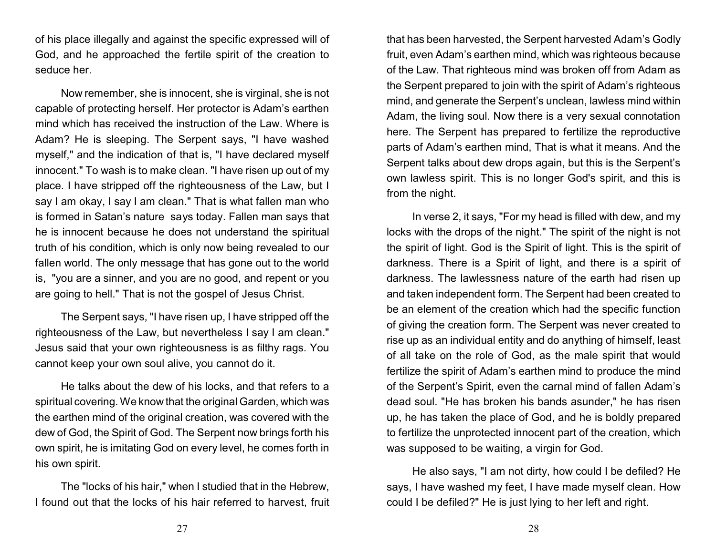of his place illegally and against the specific expressed will of God, and he approached the fertile spirit of the creation to seduce her.

Now remember, she is innocent, she is virginal, she is not capable of protecting herself. Her protector is Adam's earthen mind which has received the instruction of the Law. Where is Adam? He is sleeping. The Serpent says, "I have washed myself," and the indication of that is, "I have declared myself innocent." To wash is to make clean. "I have risen up out of my place. I have stripped off the righteousness of the Law, but I say I am okay, I say I am clean." That is what fallen man who is formed in Satan's nature says today. Fallen man says that he is innocent because he does not understand the spiritual truth of his condition, which is only now being revealed to our fallen world. The only message that has gone out to the world is, "you are a sinner, and you are no good, and repent or you are going to hell." That is not the gospel of Jesus Christ.

The Serpent says, "I have risen up, I have stripped off the righteousness of the Law, but nevertheless I say I am clean." Jesus said that your own righteousness is as filthy rags. You cannot keep your own soul alive, you cannot do it.

He talks about the dew of his locks, and that refers to a spiritual covering. We know that the original Garden, which was the earthen mind of the original creation, was covered with the dew of God, the Spirit of God. The Serpent now brings forth his own spirit, he is imitating God on every level, he comes forth in his own spirit.

The "locks of his hair," when I studied that in the Hebrew, I found out that the locks of his hair referred to harvest, fruit that has been harvested, the Serpent harvested Adam's Godly fruit, even Adam's earthen mind, which was righteous because of the Law. That righteous mind was broken off from Adam as the Serpent prepared to join with the spirit of Adam's righteous mind, and generate the Serpent's unclean, lawless mind within Adam, the living soul. Now there is a very sexual connotation here. The Serpent has prepared to fertilize the reproductive parts of Adam's earthen mind, That is what it means. And the Serpent talks about dew drops again, but this is the Serpent's own lawless spirit. This is no longer God's spirit, and this is from the night.

In verse 2, it says, "For my head is filled with dew, and my locks with the drops of the night." The spirit of the night is not the spirit of light. God is the Spirit of light. This is the spirit of darkness. There is a Spirit of light, and there is a spirit of darkness. The lawlessness nature of the earth had risen up and taken independent form. The Serpent had been created to be an element of the creation which had the specific function of giving the creation form. The Serpent was never created to rise up as an individual entity and do anything of himself, least of all take on the role of God, as the male spirit that would fertilize the spirit of Adam's earthen mind to produce the mind of the Serpent's Spirit, even the carnal mind of fallen Adam's dead soul. "He has broken his bands asunder," he has risen up, he has taken the place of God, and he is boldly prepared to fertilize the unprotected innocent part of the creation, which was supposed to be waiting, a virgin for God.

He also says, "I am not dirty, how could I be defiled? He says, I have washed my feet, I have made myself clean. How could I be defiled?" He is just lying to her left and right.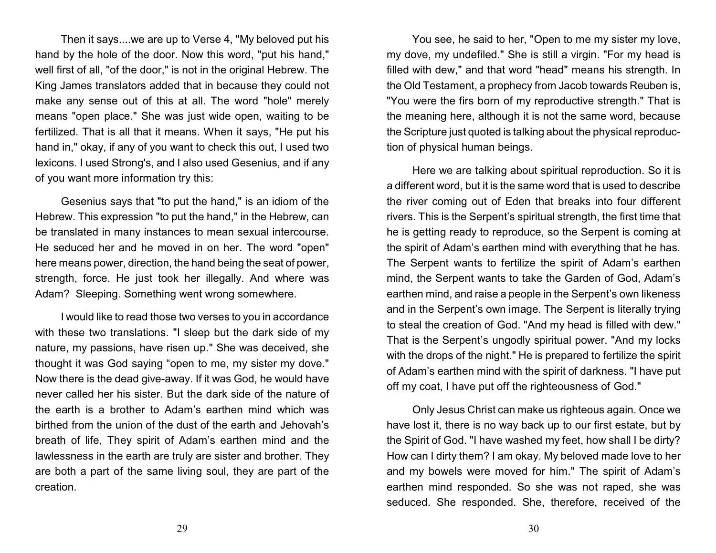Then it says....we are up to Verse 4, "My beloved put his hand by the hole of the door. Now this word, "put his hand," well first of all, "of the door," is not in the original Hebrew. The King James translators added that in because they could not make any sense out of this at all. The word "hole" merely means "open place." She was just wide open, waiting to be fertilized. That is all that it means. When it says, "He put his hand in," okay, if any of you want to check this out, I used two lexicons. I used Strong's, and I also used Gesenius, and if any of you want more information try this:

Gesenius says that "to put the hand," is an idiom of the Hebrew. This expression "to put the hand," in the Hebrew, can be translated in many instances to mean sexual intercourse. He seduced her and he moved in on her. The word "open" here means power, direction, the hand being the seat of power, strength, force. He just took her illegally. And where was Adam? Sleeping. Something went wrong somewhere.

I would like to read those two verses to you in accordance with these two translations. "I sleep but the dark side of my nature, my passions, have risen up." She was deceived, she thought it was God saying "open to me, my sister my dove." Now there is the dead give-away. If it was God, he would have never called her his sister. But the dark side of the nature of the earth is a brother to Adam's earthen mind which was birthed from the union of the dust of the earth and Jehovah's breath of life, They spirit of Adam's earthen mind and the lawlessness in the earth are truly are sister and brother. They are both a part of the same living soul, they are part of the creation.

You see, he said to her, "Open to me my sister my love, my dove, my undefiled." She is still a virgin. "For my head is filled with dew," and that word "head" means his strength. In the Old Testament, a prophecy from Jacob towards Reuben is, "You were the firs born of my reproductive strength." That is the meaning here, although it is not the same word, because the Scripture just quoted is talking about the physical reproduction of physical human beings.

Here we are talking about spiritual reproduction. So it is a different word, but it is the same word that is used to describe the river coming out of Eden that breaks into four different rivers. This is the Serpent's spiritual strength, the first time that he is getting ready to reproduce, so the Serpent is coming at the spirit of Adam's earthen mind with everything that he has. The Serpent wants to fertilize the spirit of Adam's earthen mind, the Serpent wants to take the Garden of God, Adam's earthen mind, and raise a people in the Serpent's own likeness and in the Serpent's own image. The Serpent is literally trying to steal the creation of God. "And my head is filled with dew." That is the Serpent's ungodly spiritual power. "And my locks with the drops of the night." He is prepared to fertilize the spirit of Adam's earthen mind with the spirit of darkness. "I have put off my coat, I have put off the righteousness of God."

Only Jesus Christ can make us righteous again. Once we have lost it, there is no way back up to our first estate, but by the Spirit of God. "I have washed my feet, how shall I be dirty? How can I dirty them? I am okay. My beloved made love to her and my bowels were moved for him." The spirit of Adam's earthen mind responded. So she was not raped, she was seduced. She responded. She, therefore, received of the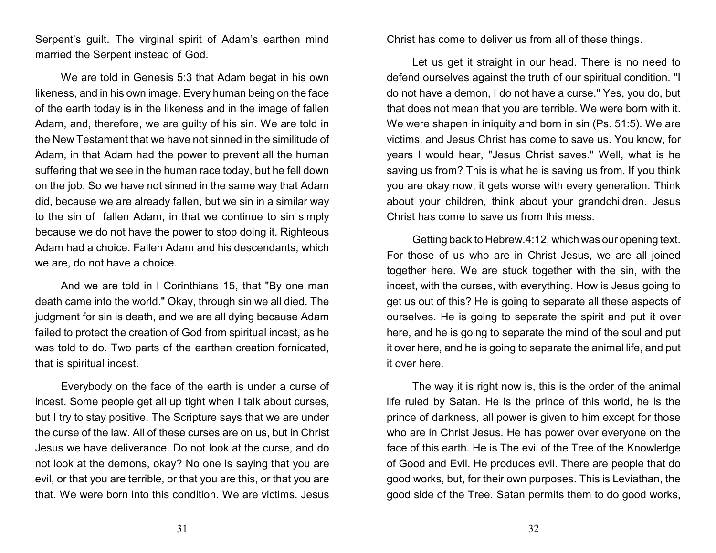Serpent's guilt. The virginal spirit of Adam's earthen mind married the Serpent instead of God.

We are told in Genesis 5:3 that Adam begat in his own likeness, and in his own image. Every human being on the face of the earth today is in the likeness and in the image of fallen Adam, and, therefore, we are guilty of his sin. We are told in the New Testament that we have not sinned in the similitude of Adam, in that Adam had the power to prevent all the human suffering that we see in the human race today, but he fell down on the job. So we have not sinned in the same way that Adam did, because we are already fallen, but we sin in a similar way to the sin of fallen Adam, in that we continue to sin simply because we do not have the power to stop doing it. Righteous Adam had a choice. Fallen Adam and his descendants, which we are, do not have a choice.

And we are told in I Corinthians 15, that "By one man death came into the world." Okay, through sin we all died. The judgment for sin is death, and we are all dying because Adam failed to protect the creation of God from spiritual incest, as he was told to do. Two parts of the earthen creation fornicated, that is spiritual incest.

Everybody on the face of the earth is under a curse of incest. Some people get all up tight when I talk about curses, but I try to stay positive. The Scripture says that we are under the curse of the law. All of these curses are on us, but in Christ Jesus we have deliverance. Do not look at the curse, and do not look at the demons, okay? No one is saying that you are evil, or that you are terrible, or that you are this, or that you are that. We were born into this condition. We are victims. Jesus

Christ has come to deliver us from all of these things.

Let us get it straight in our head. There is no need to defend ourselves against the truth of our spiritual condition. "I do not have a demon, I do not have a curse." Yes, you do, but that does not mean that you are terrible. We were born with it. We were shapen in iniquity and born in sin (Ps. 51:5). We are victims, and Jesus Christ has come to save us. You know, for years I would hear, "Jesus Christ saves." Well, what is he saving us from? This is what he is saving us from. If you think you are okay now, it gets worse with every generation. Think about your children, think about your grandchildren. Jesus Christ has come to save us from this mess.

Getting back to Hebrew.4:12, which was our opening text. For those of us who are in Christ Jesus, we are all joined together here. We are stuck together with the sin, with the incest, with the curses, with everything. How is Jesus going to get us out of this? He is going to separate all these aspects of ourselves. He is going to separate the spirit and put it over here, and he is going to separate the mind of the soul and put it over here, and he is going to separate the animal life, and put it over here.

The way it is right now is, this is the order of the animal life ruled by Satan. He is the prince of this world, he is the prince of darkness, all power is given to him except for those who are in Christ Jesus. He has power over everyone on the face of this earth. He is The evil of the Tree of the Knowledge of Good and Evil. He produces evil. There are people that do good works, but, for their own purposes. This is Leviathan, the good side of the Tree. Satan permits them to do good works,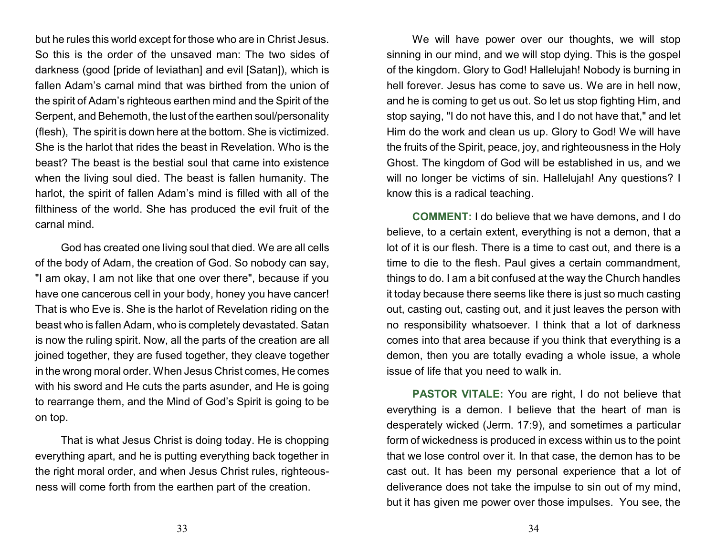but he rules this world except for those who are in Christ Jesus. So this is the order of the unsaved man: The two sides of darkness (good [pride of leviathan] and evil [Satan]), which is fallen Adam's carnal mind that was birthed from the union of the spirit of Adam's righteous earthen mind and the Spirit of the Serpent, and Behemoth, the lust of the earthen soul/personality (flesh), The spirit is down here at the bottom. She is victimized. She is the harlot that rides the beast in Revelation. Who is the beast? The beast is the bestial soul that came into existence when the living soul died. The beast is fallen humanity. The harlot, the spirit of fallen Adam's mind is filled with all of the filthiness of the world. She has produced the evil fruit of the carnal mind.

God has created one living soul that died. We are all cells of the body of Adam, the creation of God. So nobody can say, "I am okay, I am not like that one over there", because if you have one cancerous cell in your body, honey you have cancer! That is who Eve is. She is the harlot of Revelation riding on the beast who is fallen Adam, who is completely devastated. Satan is now the ruling spirit. Now, all the parts of the creation are all joined together, they are fused together, they cleave together in the wrong moral order. When Jesus Christ comes, He comes with his sword and He cuts the parts asunder, and He is going to rearrange them, and the Mind of God's Spirit is going to be on top.

That is what Jesus Christ is doing today. He is chopping everything apart, and he is putting everything back together in the right moral order, and when Jesus Christ rules, righteousness will come forth from the earthen part of the creation.

We will have power over our thoughts, we will stop sinning in our mind, and we will stop dying. This is the gospel of the kingdom. Glory to God! Hallelujah! Nobody is burning in hell forever. Jesus has come to save us. We are in hell now, and he is coming to get us out. So let us stop fighting Him, and stop saying, "I do not have this, and I do not have that," and let Him do the work and clean us up. Glory to God! We will have the fruits of the Spirit, peace, joy, and righteousness in the Holy Ghost. The kingdom of God will be established in us, and we will no longer be victims of sin. Hallelujah! Any questions? I know this is a radical teaching.

**COMMENT:** I do believe that we have demons, and I do believe, to a certain extent, everything is not a demon, that a lot of it is our flesh. There is a time to cast out, and there is a time to die to the flesh. Paul gives a certain commandment, things to do. I am a bit confused at the way the Church handles it today because there seems like there is just so much casting out, casting out, casting out, and it just leaves the person with no responsibility whatsoever. I think that a lot of darkness comes into that area because if you think that everything is a demon, then you are totally evading a whole issue, a whole issue of life that you need to walk in.

**PASTOR VITALE:** You are right, I do not believe that everything is a demon. I believe that the heart of man is desperately wicked (Jerm. 17:9), and sometimes a particular form of wickedness is produced in excess within us to the point that we lose control over it. In that case, the demon has to be cast out. It has been my personal experience that a lot of deliverance does not take the impulse to sin out of my mind, but it has given me power over those impulses. You see, the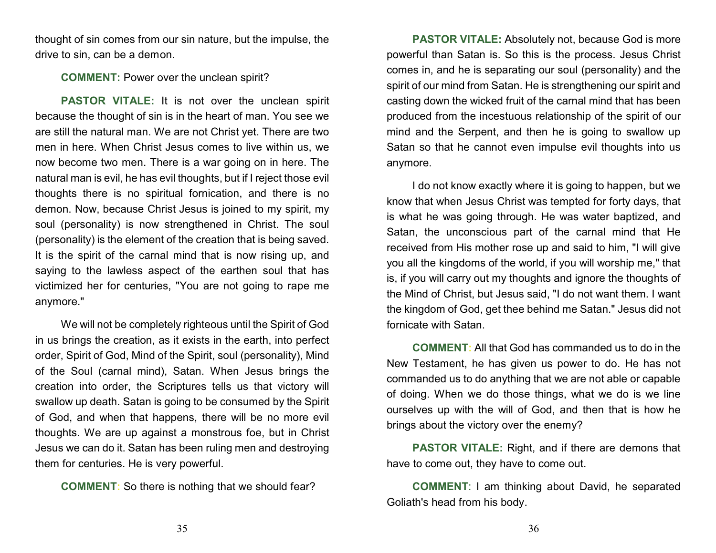thought of sin comes from our sin nature, but the impulse, the drive to sin, can be a demon.

#### **COMMENT:** Power over the unclean spirit?

**PASTOR VITALE:** It is not over the unclean spirit because the thought of sin is in the heart of man. You see we are still the natural man. We are not Christ yet. There are two men in here. When Christ Jesus comes to live within us, we now become two men. There is a war going on in here. The natural man is evil, he has evil thoughts, but if I reject those evil thoughts there is no spiritual fornication, and there is no demon. Now, because Christ Jesus is joined to my spirit, my soul (personality) is now strengthened in Christ. The soul (personality) is the element of the creation that is being saved. It is the spirit of the carnal mind that is now rising up, and saying to the lawless aspect of the earthen soul that has victimized her for centuries, "You are not going to rape me anymore."

We will not be completely righteous until the Spirit of God in us brings the creation, as it exists in the earth, into perfect order, Spirit of God, Mind of the Spirit, soul (personality), Mind of the Soul (carnal mind), Satan. When Jesus brings the creation into order, the Scriptures tells us that victory will swallow up death. Satan is going to be consumed by the Spirit of God, and when that happens, there will be no more evil thoughts. We are up against a monstrous foe, but in Christ Jesus we can do it. Satan has been ruling men and destroying them for centuries. He is very powerful.

**COMMENT:** So there is nothing that we should fear?

**PASTOR VITALE:** Absolutely not, because God is more powerful than Satan is. So this is the process. Jesus Christ comes in, and he is separating our soul (personality) and the spirit of our mind from Satan. He is strengthening our spirit and casting down the wicked fruit of the carnal mind that has been produced from the incestuous relationship of the spirit of our mind and the Serpent, and then he is going to swallow up Satan so that he cannot even impulse evil thoughts into us anymore.

I do not know exactly where it is going to happen, but we know that when Jesus Christ was tempted for forty days, that is what he was going through. He was water baptized, and Satan, the unconscious part of the carnal mind that He received from His mother rose up and said to him, "I will give you all the kingdoms of the world, if you will worship me," that is, if you will carry out my thoughts and ignore the thoughts of the Mind of Christ, but Jesus said, "I do not want them. I want the kingdom of God, get thee behind me Satan." Jesus did not fornicate with Satan.

**COMMENT:** All that God has commanded us to do in the New Testament, he has given us power to do. He has not commanded us to do anything that we are not able or capable of doing. When we do those things, what we do is we line ourselves up with the will of God, and then that is how he brings about the victory over the enemy?

**PASTOR VITALE:** Right, and if there are demons that have to come out, they have to come out.

**COMMENT**: I am thinking about David, he separated Goliath's head from his body.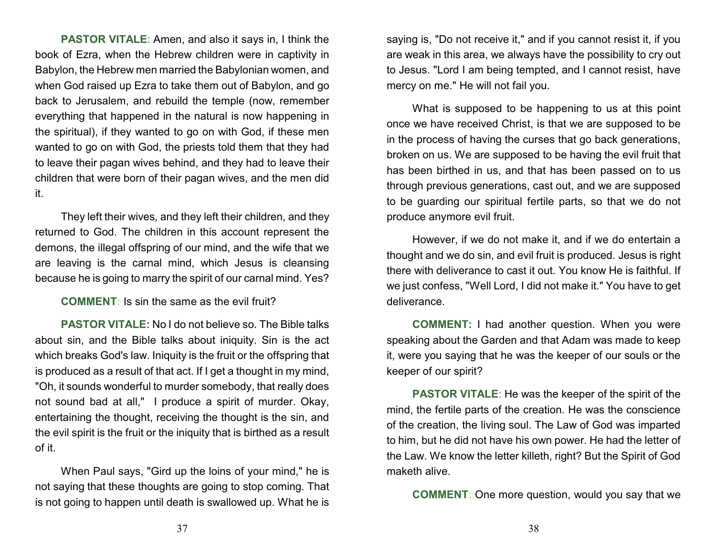**PASTOR VITALE**: Amen, and also it says in, I think the book of Ezra, when the Hebrew children were in captivity in Babylon, the Hebrew men married the Babylonian women, and when God raised up Ezra to take them out of Babylon, and go back to Jerusalem, and rebuild the temple (now, remember everything that happened in the natural is now happening in the spiritual), if they wanted to go on with God, if these men wanted to go on with God, the priests told them that they had to leave their pagan wives behind, and they had to leave their children that were born of their pagan wives, and the men did it.

They left their wives, and they left their children, and they returned to God. The children in this account represent the demons, the illegal offspring of our mind, and the wife that we are leaving is the carnal mind, which Jesus is cleansing because he is going to marry the spirit of our carnal mind. Yes?

**COMMENT:** Is sin the same as the evil fruit?

**PASTOR VITALE:** No I do not believe so. The Bible talks about sin, and the Bible talks about iniquity. Sin is the act which breaks God's law. Iniquity is the fruit or the offspring that is produced as a result of that act. If I get a thought in my mind, "Oh, it sounds wonderful to murder somebody, that really does not sound bad at all," I produce a spirit of murder. Okay, entertaining the thought, receiving the thought is the sin, and the evil spirit is the fruit or the iniquity that is birthed as a result of it.

When Paul says, "Gird up the loins of your mind," he is not saying that these thoughts are going to stop coming. That is not going to happen until death is swallowed up. What he is saying is, "Do not receive it," and if you cannot resist it, if you are weak in this area, we always have the possibility to cry out to Jesus. "Lord I am being tempted, and I cannot resist, have mercy on me." He will not fail you.

What is supposed to be happening to us at this point once we have received Christ, is that we are supposed to be in the process of having the curses that go back generations, broken on us. We are supposed to be having the evil fruit that has been birthed in us, and that has been passed on to us through previous generations, cast out, and we are supposed to be guarding our spiritual fertile parts, so that we do not produce anymore evil fruit.

However, if we do not make it, and if we do entertain a thought and we do sin, and evil fruit is produced. Jesus is right there with deliverance to cast it out. You know He is faithful. If we just confess, "Well Lord, I did not make it." You have to get deliverance.

**COMMENT:** I had another question. When you were speaking about the Garden and that Adam was made to keep it, were you saying that he was the keeper of our souls or the keeper of our spirit?

**PASTOR VITALE**: He was the keeper of the spirit of the mind, the fertile parts of the creation. He was the conscience of the creation, the living soul. The Law of God was imparted to him, but he did not have his own power. He had the letter of the Law. We know the letter killeth, right? But the Spirit of God maketh alive.

**COMMENT:** One more question, would you say that we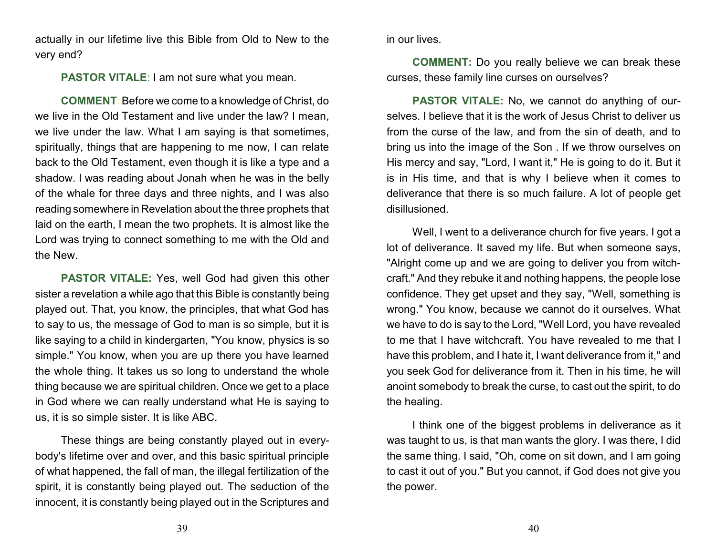actually in our lifetime live this Bible from Old to New to the very end?

**PASTOR VITALE**: I am not sure what you mean.

**COMMENT**: Before we come to a knowledge of Christ, do we live in the Old Testament and live under the law? I mean, we live under the law. What I am saying is that sometimes, spiritually, things that are happening to me now, I can relate back to the Old Testament, even though it is like a type and a shadow. I was reading about Jonah when he was in the belly of the whale for three days and three nights, and I was also reading somewhere in Revelation about the three prophets that laid on the earth, I mean the two prophets. It is almost like the Lord was trying to connect something to me with the Old and the New.

**PASTOR VITALE:** Yes, well God had given this other sister a revelation a while ago that this Bible is constantly being played out. That, you know, the principles, that what God has to say to us, the message of God to man is so simple, but it is like saying to a child in kindergarten, "You know, physics is so simple." You know, when you are up there you have learned the whole thing. It takes us so long to understand the whole thing because we are spiritual children. Once we get to a place in God where we can really understand what He is saying to us, it is so simple sister. It is like ABC.

These things are being constantly played out in everybody's lifetime over and over, and this basic spiritual principle of what happened, the fall of man, the illegal fertilization of the spirit, it is constantly being played out. The seduction of the innocent, it is constantly being played out in the Scriptures and in our lives.

**COMMENT:** Do you really believe we can break these curses, these family line curses on ourselves?

**PASTOR VITALE:** No, we cannot do anything of ourselves. I believe that it is the work of Jesus Christ to deliver us from the curse of the law, and from the sin of death, and to bring us into the image of the Son . If we throw ourselves on His mercy and say, "Lord, I want it," He is going to do it. But it is in His time, and that is why I believe when it comes to deliverance that there is so much failure. A lot of people get disillusioned.

Well, I went to a deliverance church for five years. I got a lot of deliverance. It saved my life. But when someone says, "Alright come up and we are going to deliver you from witchcraft." And they rebuke it and nothing happens, the people lose confidence. They get upset and they say, "Well, something is wrong." You know, because we cannot do it ourselves. What we have to do is say to the Lord, "Well Lord, you have revealed to me that I have witchcraft. You have revealed to me that I have this problem, and I hate it, I want deliverance from it," and you seek God for deliverance from it. Then in his time, he will anoint somebody to break the curse, to cast out the spirit, to do the healing.

I think one of the biggest problems in deliverance as it was taught to us, is that man wants the glory. I was there, I did the same thing. I said, "Oh, come on sit down, and I am going to cast it out of you." But you cannot, if God does not give you the power.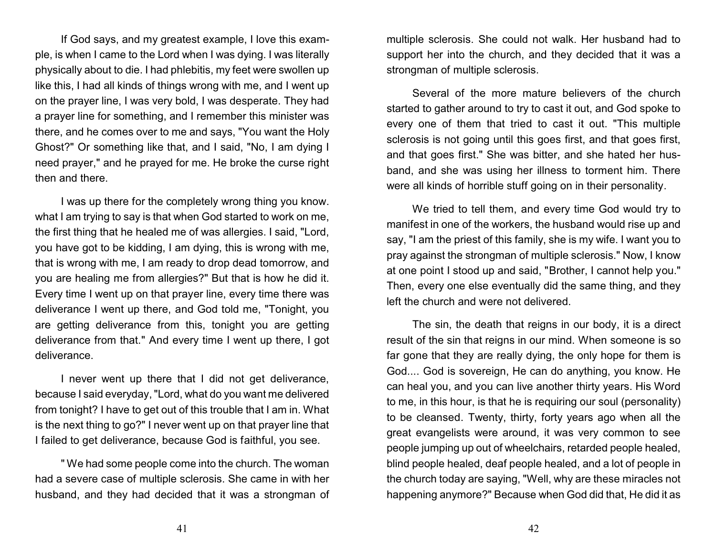If God says, and my greatest example, I love this example, is when I came to the Lord when I was dying. I was literally physically about to die. I had phlebitis, my feet were swollen up like this, I had all kinds of things wrong with me, and I went up on the prayer line, I was very bold, I was desperate. They had a prayer line for something, and I remember this minister was there, and he comes over to me and says, "You want the Holy Ghost?" Or something like that, and I said, "No, I am dying I need prayer," and he prayed for me. He broke the curse right then and there.

I was up there for the completely wrong thing you know. what I am trying to say is that when God started to work on me, the first thing that he healed me of was allergies. I said, "Lord, you have got to be kidding, I am dying, this is wrong with me, that is wrong with me, I am ready to drop dead tomorrow, and you are healing me from allergies?" But that is how he did it. Every time I went up on that prayer line, every time there was deliverance I went up there, and God told me, "Tonight, you are getting deliverance from this, tonight you are getting deliverance from that." And every time I went up there, I got deliverance.

I never went up there that I did not get deliverance, because I said everyday, "Lord, what do you want me delivered from tonight? I have to get out of this trouble that I am in. What is the next thing to go?" I never went up on that prayer line that I failed to get deliverance, because God is faithful, you see.

" We had some people come into the church. The woman had a severe case of multiple sclerosis. She came in with her husband, and they had decided that it was a strongman of multiple sclerosis. She could not walk. Her husband had to support her into the church, and they decided that it was a strongman of multiple sclerosis.

Several of the more mature believers of the church started to gather around to try to cast it out, and God spoke to every one of them that tried to cast it out. "This multiple sclerosis is not going until this goes first, and that goes first, and that goes first." She was bitter, and she hated her husband, and she was using her illness to torment him. There were all kinds of horrible stuff going on in their personality.

We tried to tell them, and every time God would try to manifest in one of the workers, the husband would rise up and say, "I am the priest of this family, she is my wife. I want you to pray against the strongman of multiple sclerosis." Now, I know at one point I stood up and said, "Brother, I cannot help you." Then, every one else eventually did the same thing, and they left the church and were not delivered.

The sin, the death that reigns in our body, it is a direct result of the sin that reigns in our mind. When someone is so far gone that they are really dying, the only hope for them is God.... God is sovereign, He can do anything, you know. He can heal you, and you can live another thirty years. His Word to me, in this hour, is that he is requiring our soul (personality) to be cleansed. Twenty, thirty, forty years ago when all the great evangelists were around, it was very common to see people jumping up out of wheelchairs, retarded people healed, blind people healed, deaf people healed, and a lot of people in the church today are saying, "Well, why are these miracles not happening anymore?" Because when God did that, He did it as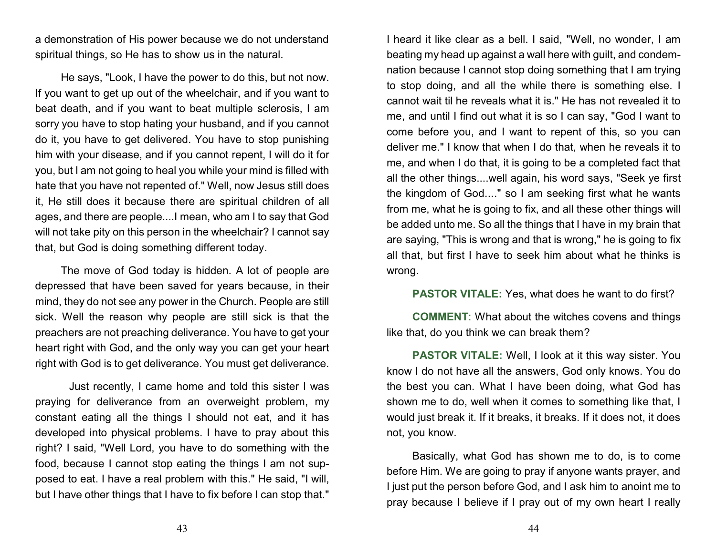a demonstration of His power because we do not understand spiritual things, so He has to show us in the natural.

He says, "Look, I have the power to do this, but not now. If you want to get up out of the wheelchair, and if you want to beat death, and if you want to beat multiple sclerosis, I am sorry you have to stop hating your husband, and if you cannot do it, you have to get delivered. You have to stop punishing him with your disease, and if you cannot repent, I will do it for you, but I am not going to heal you while your mind is filled with hate that you have not repented of." Well, now Jesus still does it, He still does it because there are spiritual children of all ages, and there are people....I mean, who am I to say that God will not take pity on this person in the wheelchair? I cannot say that, but God is doing something different today.

The move of God today is hidden. A lot of people are depressed that have been saved for years because, in their mind, they do not see any power in the Church. People are still sick. Well the reason why people are still sick is that the preachers are not preaching deliverance. You have to get your heart right with God, and the only way you can get your heart right with God is to get deliverance. You must get deliverance.

Just recently, I came home and told this sister I was praying for deliverance from an overweight problem, my constant eating all the things I should not eat, and it has developed into physical problems. I have to pray about this right? I said, "Well Lord, you have to do something with the food, because I cannot stop eating the things I am not supposed to eat. I have a real problem with this." He said, "I will, but I have other things that I have to fix before I can stop that."

I heard it like clear as a bell. I said, "Well, no wonder, I am beating my head up against a wall here with guilt, and condemnation because I cannot stop doing something that I am trying to stop doing, and all the while there is something else. I cannot wait til he reveals what it is." He has not revealed it to me, and until I find out what it is so I can say, "God I want to come before you, and I want to repent of this, so you can deliver me." I know that when I do that, when he reveals it to me, and when I do that, it is going to be a completed fact that all the other things....well again, his word says, "Seek ye first the kingdom of God...." so I am seeking first what he wants from me, what he is going to fix, and all these other things will be added unto me. So all the things that I have in my brain that are saying, "This is wrong and that is wrong," he is going to fix all that, but first I have to seek him about what he thinks is wrong.

#### **PASTOR VITALE:** Yes, what does he want to do first?

**COMMENT**: What about the witches covens and things like that, do you think we can break them?

**PASTOR VITALE:** Well, I look at it this way sister. You know I do not have all the answers, God only knows. You do the best you can. What I have been doing, what God has shown me to do, well when it comes to something like that, I would just break it. If it breaks, it breaks. If it does not, it does not, you know.

Basically, what God has shown me to do, is to come before Him. We are going to pray if anyone wants prayer, and I just put the person before God, and I ask him to anoint me to pray because I believe if I pray out of my own heart I really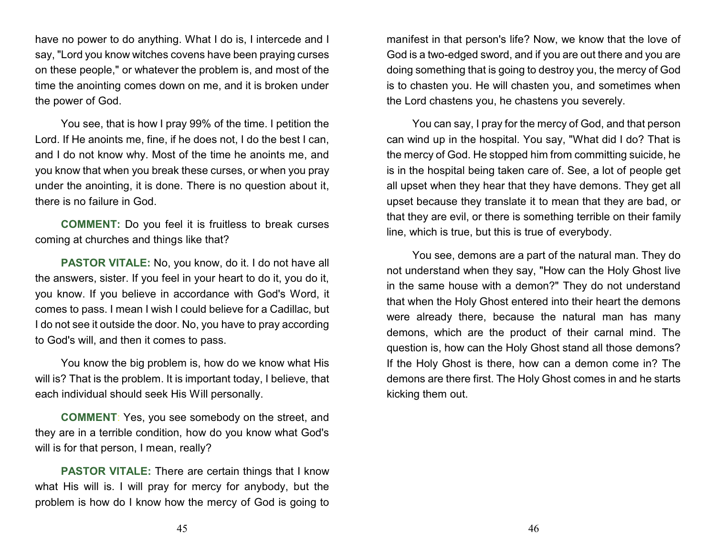have no power to do anything. What I do is, I intercede and I say, "Lord you know witches covens have been praying curses on these people," or whatever the problem is, and most of the time the anointing comes down on me, and it is broken under the power of God.

You see, that is how I pray 99% of the time. I petition the Lord. If He anoints me, fine, if he does not, I do the best I can, and I do not know why. Most of the time he anoints me, and you know that when you break these curses, or when you pray under the anointing, it is done. There is no question about it, there is no failure in God.

**COMMENT:** Do you feel it is fruitless to break curses coming at churches and things like that?

**PASTOR VITALE:** No, you know, do it. I do not have all the answers, sister. If you feel in your heart to do it, you do it, you know. If you believe in accordance with God's Word, it comes to pass. I mean I wish I could believe for a Cadillac, but I do not see it outside the door. No, you have to pray according to God's will, and then it comes to pass.

You know the big problem is, how do we know what His will is? That is the problem. It is important today, I believe, that each individual should seek His Will personally.

**COMMENT**: Yes, you see somebody on the street, and they are in a terrible condition, how do you know what God's will is for that person, I mean, really?

**PASTOR VITALE:** There are certain things that I know what His will is. I will pray for mercy for anybody, but the problem is how do I know how the mercy of God is going to

manifest in that person's life? Now, we know that the love of God is a two-edged sword, and if you are out there and you are doing something that is going to destroy you, the mercy of God is to chasten you. He will chasten you, and sometimes when the Lord chastens you, he chastens you severely.

You can say, I pray for the mercy of God, and that person can wind up in the hospital. You say, "What did I do? That is the mercy of God. He stopped him from committing suicide, he is in the hospital being taken care of. See, a lot of people get all upset when they hear that they have demons. They get all upset because they translate it to mean that they are bad, or that they are evil, or there is something terrible on their family line, which is true, but this is true of everybody.

You see, demons are a part of the natural man. They do not understand when they say, "How can the Holy Ghost live in the same house with a demon?" They do not understand that when the Holy Ghost entered into their heart the demons were already there, because the natural man has many demons, which are the product of their carnal mind. The question is, how can the Holy Ghost stand all those demons? If the Holy Ghost is there, how can a demon come in? The demons are there first. The Holy Ghost comes in and he starts kicking them out.